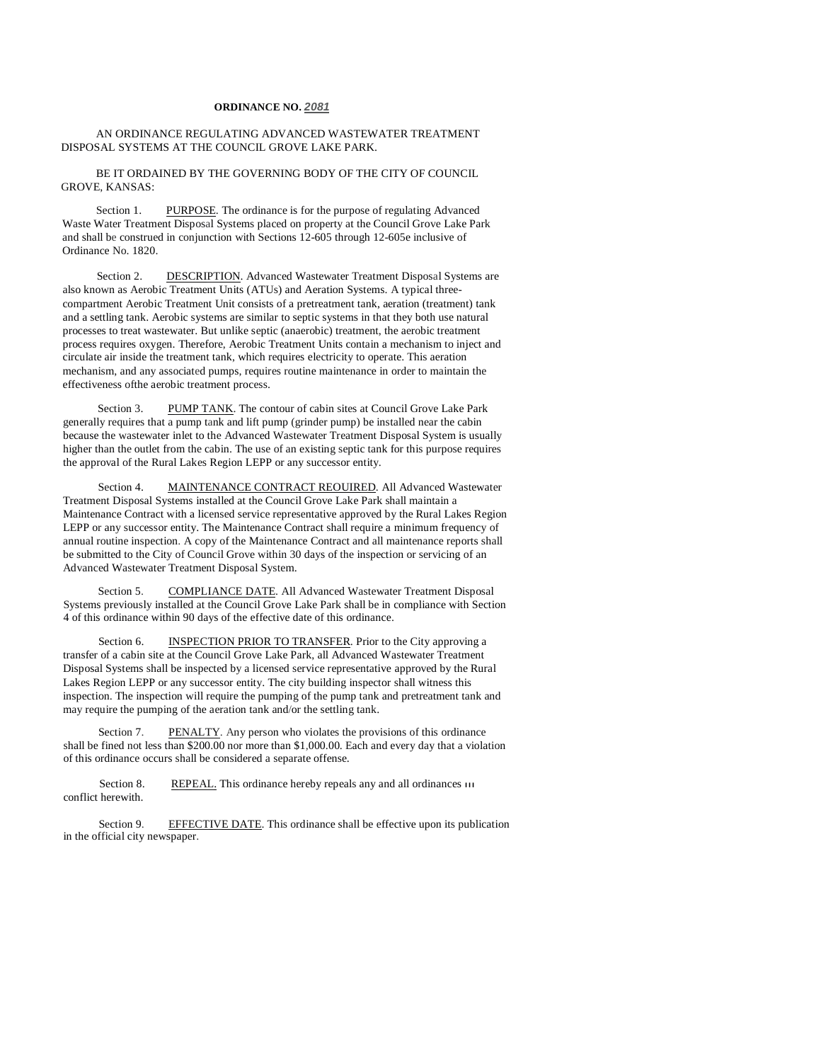## **ORDINANCE NO. 2081**

## AN ORDINANCE REGULATING ADVANCED WASTEWATER TREATMENT DISPOSAL SYSTEMS AT THE COUNCIL GROVE LAKE PARK.

## BE IT ORDAINED BY THE GOVERNING BODY OF THE CITY OF COUNCIL. GROVE, KANSAS:

Section 1. PURPOSE. The ordinance is for the purpose of regulating Advanced Waste Water Treatment Disposal Systems placed on property at the Council Grove Lake Park and shall be construed in conjunction with Sections 12-605 through 12-605e inclusive of Ordinance No. 1820.

Section 2. DESCRIPTION. Advanced Wastewater Treatment Disposal Systems are also known as Aerobic Treatment Units (ATUs) and Aeration Systems. A typical threecompartment Aerobic Treatment Unit consists of a pretreatment tank, aeration (treatment) tank and a settling tank. Aerobic systems are similar to septic systems in that they both use natural processes to treat wastewater. But unlike septic (anaerobic) treatment, the aerobic treatment process requires oxygen. Therefore, Aerobic Treatment Units contain a mechanism to inject and circulate air inside the treatment tank, which requires electricity to operate. This aeration mechanism, and any associated pumps, requires routine maintenance in order to maintain the effectiveness ofthe aerobic treatment process.

Section 3. PUMP TANK. The contour of cabin sites at Council Grove Lake Park generally requires that a pump tank and lift pump (grinder pump) be installed near the cabin because the wastewater inlet to the Advanced Wastewater Treatment Disposal System is usually higher than the outlet from the cabin. The use of an existing septic tank for this purpose requires the approval of the Rural Lakes Region LEPP or any successor entity.

Section 4. MAINTENANCE CONTRACT REOUIRED. All Advanced Wastewater Treatment Disposal Systems installed at the Council Grove Lake Park shall maintain a Maintenance Contract with a licensed service representative approved by the Rural Lakes Region LEPP or any successor entity. The Maintenance Contract shall require a minimum frequency of annual routine inspection. A copy of the Maintenance Contract and all maintenance reports shall be submitted to the City of Council Grove within 30 days of the inspection or servicing of an Advanced Wastewater Treatment Disposal System.

Section 5. COMPLIANCE DATE. All Advanced Wastewater Treatment Disposal Systems previously installed at the Council Grove Lake Park shall be in compliance with Section 4 of this ordinance within 90 days of the effective date of this ordinance.

Section 6. INSPECTION PRIOR TO TRANSFER. Prior to the City approving a transfer of a cabin site at the Council Grove Lake Park, all Advanced Wastewater Treatment Disposal Systems shall be inspected by a licensed service representative approved by the Rural Lakes Region LEPP or any successor entity. The city building inspector shall witness this inspection. The inspection will require the pumping of the pump tank and pretreatment tank and may require the pumping of the aeration tank and/or the settling tank.

Section 7. PENALTY. Any person who violates the provisions of this ordinance shall be fined not less than \$200.00 nor more than \$1,000.00. Each and every day that a violation of this ordinance occurs shall be considered a separate offense.

Section 8. conflict herewith. REPEAL. This ordinance hereby repeals any and all ordinances  $\overline{II}$ 

Section 9. EFFECTIVE DATE. This ordinance shall be effective upon its publication in the official city newspaper.